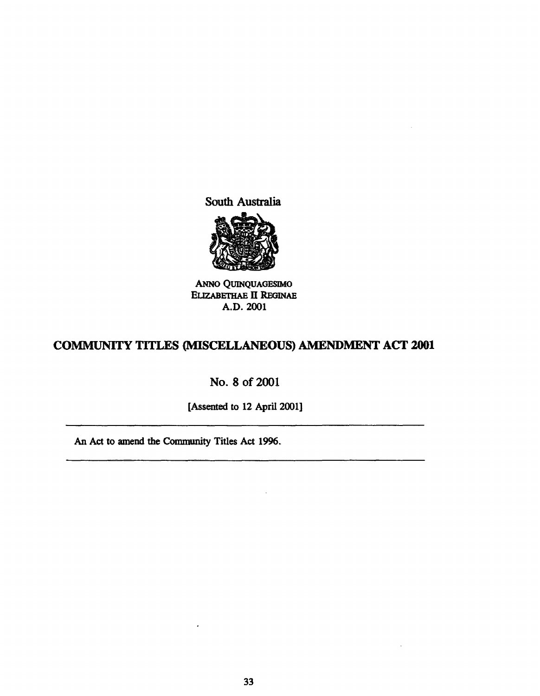South Australia



ANNo QuINQUAGESIMO ELIZABETHAE II REGINAE A.D.2OO1

## COMMUNITY TITLES (MISCELLANEOUS) AMENDMENT ACT 2001

# No. 8 of 2001

[Assented to 12 April 2001]

An Act to amend the Community Titles Act 1996.

 $\cdot$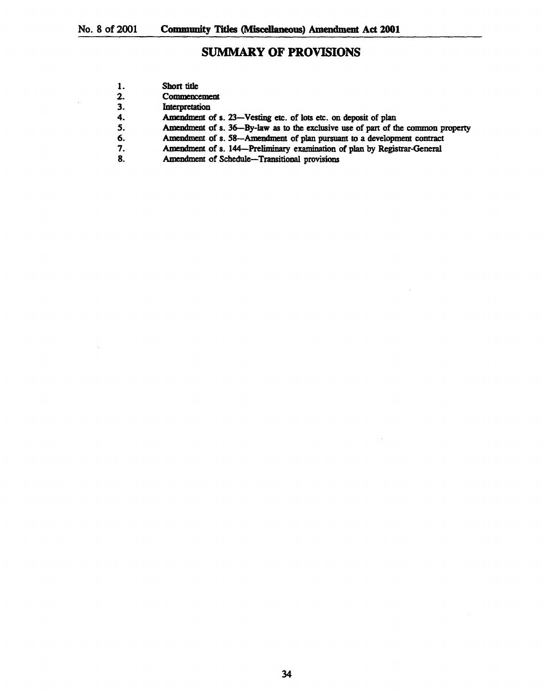$\ddot{\phantom{a}}$ 

 $\hat{\mathcal{A}}$ 

## SUMMARY OF PROVISIONS

| 1. | Short title                                                                      |
|----|----------------------------------------------------------------------------------|
| 2. | Commencement                                                                     |
| 3. | Interpretation                                                                   |
| 4. | Amendment of s. 23-Vesting etc. of lots etc. on deposit of plan                  |
| 5. | Amendment of s. 36—By-law as to the exclusive use of part of the common property |
| 6. | Amendment of s. 58-Amendment of plan pursuant to a development contract          |
| 7. | Amendment of s. 144-Preliminary examination of plan by Registrar-General         |
| 8. | Amendment of Schedule-Transitional provisions                                    |
|    |                                                                                  |
|    |                                                                                  |
|    |                                                                                  |
|    |                                                                                  |

J.

 $\hat{\mathcal{A}}$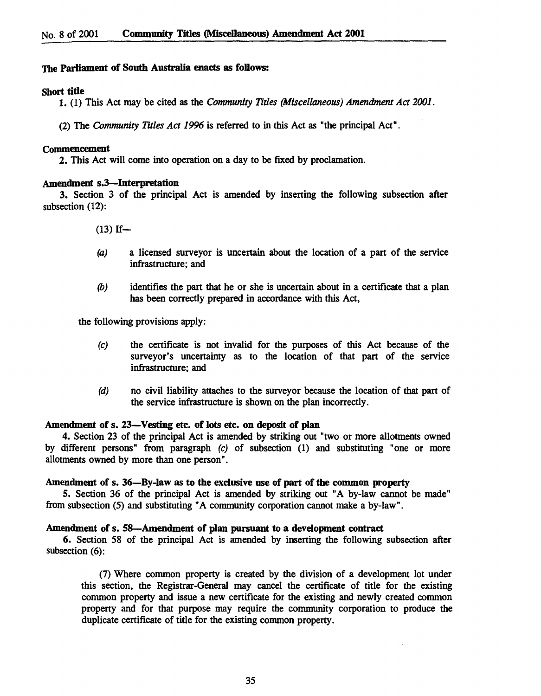## The Parliament of South Australia enacts as follows:

## Short title

1. (1) This Act may be cited as the *Community Titles (Miscellaneous) Amendment Act 2001.* 

(2) The *Community Titles Act* 1996 is referred to in this Act as "the principal Act".

#### Commencement

2. This Act will come into operation on a day to be fixed by proclamation.

### Amendment s.3-Interpretation

3. Section 3 of the principal Act is amended by inserting the following subsection after subsection (12):

 $(13)$  If-

- (a) a licensed surveyor is uncertain about the location of a part of the service infrastructure; and
- (b) identifies the part that he or she is uncertain about in a certificate that a plan has been correctly prepared in accordance with this Act,

the following provisions apply:

- (c) the certificate is not invalid for the purposes of this Act because of the surveyor's uncertainty as to the location of that part of the service infrastructure; and
- (d) no civil liability attaches to the surveyor because the location of that part of the service infrastructure is shown on the plan incorrectly.

## Amendment of s. 23-Vesting etc. of lots etc. on deposit of plan

4. Section 23 of the principal Act is amended by striking out "two or more allotments owned by different persons" from paragraph (c) of subsection (1) and substituting "one or more allotments owned by more than one person".

## Amendment of s. 36-By-law as to the exclusive use of part of the common property

5. Section 36 of the principal Act is amended by striking out "A by-law cannot be made" from subsection (5) and substituting "A community corporation cannot make a by-law".

### Amendment of s. 58-Amendment of plan pursuant to a development contract

6. Section 58 of the principal Act is amended by inserting the following subsection after subsection (6):

(7) Where common property is created by the division of a development lot under this section, the Registrar-General may cancel the certificate of title for the existing common property and issue a new certificate for the existing and newly created common property and for that purpose may require the community corporation to produce the duplicate certificate of title for the existing common property.